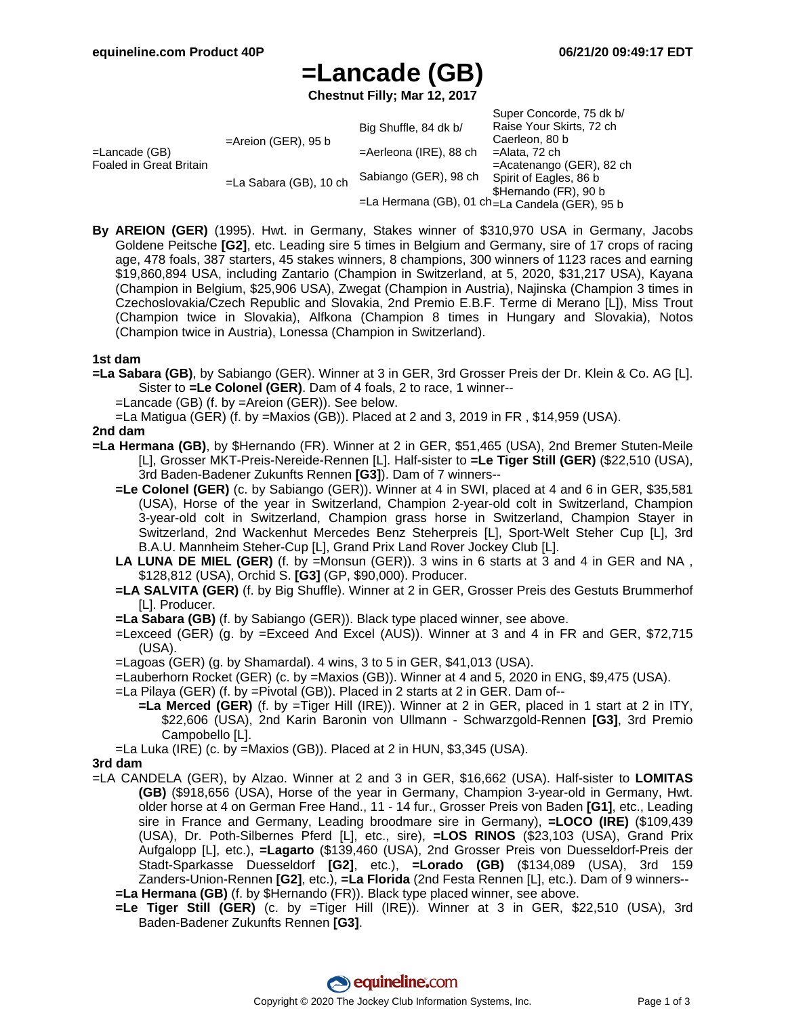# **=Lancade (GB)**

**Chestnut Filly; Mar 12, 2017**

|                                             |                           | Big Shuffle, 84 dk b/     | Super Concorde, 75 dk b/<br>Raise Your Skirts, 72 ch |
|---------------------------------------------|---------------------------|---------------------------|------------------------------------------------------|
| $=$ Lancade (GB)<br>Foaled in Great Britain | $=$ Areion (GER), 95 b    |                           | Caerleon, 80 b                                       |
|                                             |                           | $=$ Aerleona (IRE), 88 ch | =Alata, 72 ch                                        |
|                                             | $=$ La Sabara (GB), 10 ch |                           | =Acatenango (GER), 82 ch                             |
|                                             |                           | Sabiango (GER), 98 ch     | Spirit of Eagles, 86 b                               |
|                                             |                           |                           | \$Hernando (FR), 90 b                                |
|                                             |                           |                           | =La Hermana (GB), 01 ch=La Candela (GER), 95 b       |

**By AREION (GER)** (1995). Hwt. in Germany, Stakes winner of \$310,970 USA in Germany, Jacobs Goldene Peitsche **[G2]**, etc. Leading sire 5 times in Belgium and Germany, sire of 17 crops of racing age, 478 foals, 387 starters, 45 stakes winners, 8 champions, 300 winners of 1123 races and earning \$19,860,894 USA, including Zantario (Champion in Switzerland, at 5, 2020, \$31,217 USA), Kayana (Champion in Belgium, \$25,906 USA), Zwegat (Champion in Austria), Najinska (Champion 3 times in Czechoslovakia/Czech Republic and Slovakia, 2nd Premio E.B.F. Terme di Merano [L]), Miss Trout (Champion twice in Slovakia), Alfkona (Champion 8 times in Hungary and Slovakia), Notos (Champion twice in Austria), Lonessa (Champion in Switzerland).

### **1st dam**

**=La Sabara (GB)**, by Sabiango (GER). Winner at 3 in GER, 3rd Grosser Preis der Dr. Klein & Co. AG [L]. Sister to **=Le Colonel (GER)**. Dam of 4 foals, 2 to race, 1 winner--

=Lancade (GB) (f. by =Areion (GER)). See below.

=La Matigua (GER) (f. by =Maxios (GB)). Placed at 2 and 3, 2019 in FR , \$14,959 (USA).

### **2nd dam**

- **=La Hermana (GB)**, by \$Hernando (FR). Winner at 2 in GER, \$51,465 (USA), 2nd Bremer Stuten-Meile [L], Grosser MKT-Preis-Nereide-Rennen [L]. Half-sister to **=Le Tiger Still (GER)** (\$22,510 (USA), 3rd Baden-Badener Zukunfts Rennen **[G3]**). Dam of 7 winners--
	- **=Le Colonel (GER)** (c. by Sabiango (GER)). Winner at 4 in SWI, placed at 4 and 6 in GER, \$35,581 (USA), Horse of the year in Switzerland, Champion 2-year-old colt in Switzerland, Champion 3-year-old colt in Switzerland, Champion grass horse in Switzerland, Champion Stayer in Switzerland, 2nd Wackenhut Mercedes Benz Steherpreis [L], Sport-Welt Steher Cup [L], 3rd B.A.U. Mannheim Steher-Cup [L], Grand Prix Land Rover Jockey Club [L].
	- **LA LUNA DE MIEL (GER)** (f. by =Monsun (GER)). 3 wins in 6 starts at 3 and 4 in GER and NA , \$128,812 (USA), Orchid S. **[G3]** (GP, \$90,000). Producer.
	- **=LA SALVITA (GER)** (f. by Big Shuffle). Winner at 2 in GER, Grosser Preis des Gestuts Brummerhof [L]. Producer.
	- **=La Sabara (GB)** (f. by Sabiango (GER)). Black type placed winner, see above.
	- =Lexceed (GER) (g. by =Exceed And Excel (AUS)). Winner at 3 and 4 in FR and GER, \$72,715 (USA).
	- =Lagoas (GER) (g. by Shamardal). 4 wins, 3 to 5 in GER, \$41,013 (USA).

=Lauberhorn Rocket (GER) (c. by =Maxios (GB)). Winner at 4 and 5, 2020 in ENG, \$9,475 (USA).

- =La Pilaya (GER) (f. by =Pivotal (GB)). Placed in 2 starts at 2 in GER. Dam of--
	- **=La Merced (GER)** (f. by =Tiger Hill (IRE)). Winner at 2 in GER, placed in 1 start at 2 in ITY, \$22,606 (USA), 2nd Karin Baronin von Ullmann - Schwarzgold-Rennen **[G3]**, 3rd Premio Campobello [L].
- =La Luka (IRE) (c. by =Maxios (GB)). Placed at 2 in HUN, \$3,345 (USA).

#### **3rd dam**

- =LA CANDELA (GER), by Alzao. Winner at 2 and 3 in GER, \$16,662 (USA). Half-sister to **LOMITAS (GB)** (\$918,656 (USA), Horse of the year in Germany, Champion 3-year-old in Germany, Hwt. older horse at 4 on German Free Hand., 11 - 14 fur., Grosser Preis von Baden **[G1]**, etc., Leading sire in France and Germany, Leading broodmare sire in Germany), **=LOCO (IRE)** (\$109,439 (USA), Dr. Poth-Silbernes Pferd [L], etc., sire), **=LOS RINOS** (\$23,103 (USA), Grand Prix Aufgalopp [L], etc.), **=Lagarto** (\$139,460 (USA), 2nd Grosser Preis von Duesseldorf-Preis der Stadt-Sparkasse Duesseldorf **[G2]**, etc.), **=Lorado (GB)** (\$134,089 (USA), 3rd 159 Zanders-Union-Rennen **[G2]**, etc.), **=La Florida** (2nd Festa Rennen [L], etc.). Dam of 9 winners-- **=La Hermana (GB)** (f. by \$Hernando (FR)). Black type placed winner, see above.
	- **=Le Tiger Still (GER)** (c. by =Tiger Hill (IRE)). Winner at 3 in GER, \$22,510 (USA), 3rd Baden-Badener Zukunfts Rennen **[G3]**.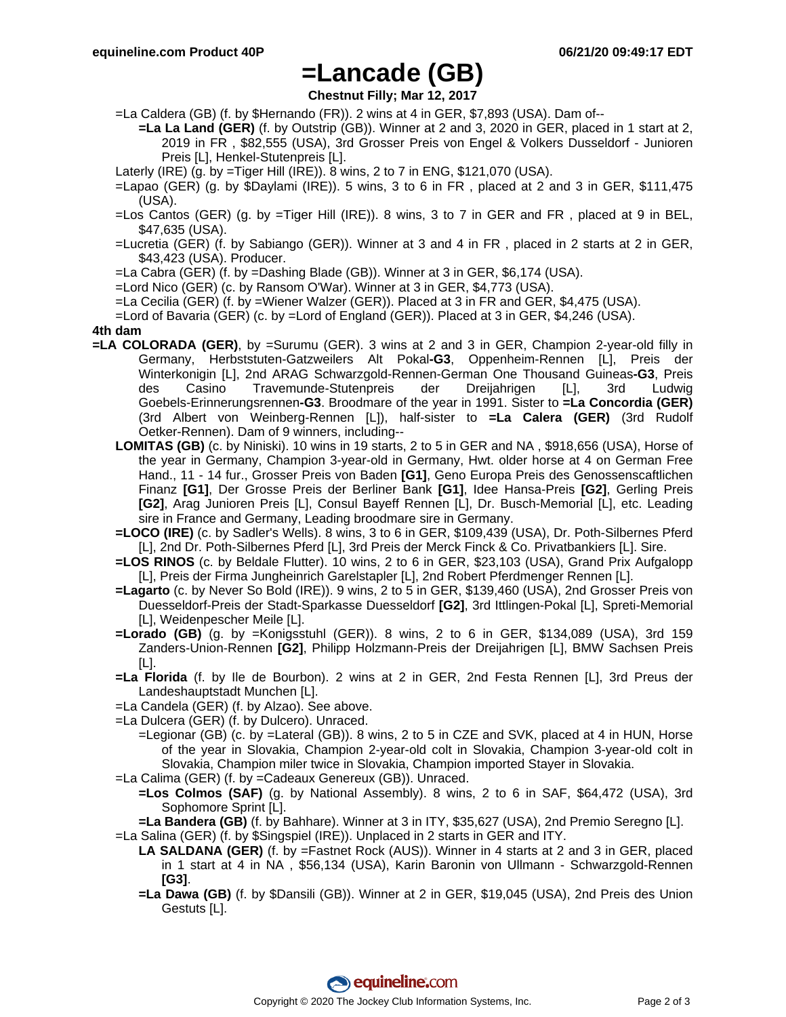# **=Lancade (GB)**

**Chestnut Filly; Mar 12, 2017**

=La Caldera (GB) (f. by \$Hernando (FR)). 2 wins at 4 in GER, \$7,893 (USA). Dam of--

**=La La Land (GER)** (f. by Outstrip (GB)). Winner at 2 and 3, 2020 in GER, placed in 1 start at 2, 2019 in FR , \$82,555 (USA), 3rd Grosser Preis von Engel & Volkers Dusseldorf - Junioren Preis [L], Henkel-Stutenpreis [L].

Laterly (IRE) (g. by =Tiger Hill (IRE)). 8 wins, 2 to 7 in ENG, \$121,070 (USA).

=Lapao (GER) (g. by \$Daylami (IRE)). 5 wins, 3 to 6 in FR , placed at 2 and 3 in GER, \$111,475 (USA).

- =Los Cantos (GER) (g. by =Tiger Hill (IRE)). 8 wins, 3 to 7 in GER and FR , placed at 9 in BEL, \$47,635 (USA).
- =Lucretia (GER) (f. by Sabiango (GER)). Winner at 3 and 4 in FR , placed in 2 starts at 2 in GER, \$43,423 (USA). Producer.
- =La Cabra (GER) (f. by =Dashing Blade (GB)). Winner at 3 in GER, \$6,174 (USA).
- =Lord Nico (GER) (c. by Ransom O'War). Winner at 3 in GER, \$4,773 (USA).
- =La Cecilia (GER) (f. by =Wiener Walzer (GER)). Placed at 3 in FR and GER, \$4,475 (USA).
- =Lord of Bavaria (GER) (c. by =Lord of England (GER)). Placed at 3 in GER, \$4,246 (USA).

#### **4th dam**

- **=LA COLORADA (GER)**, by =Surumu (GER). 3 wins at 2 and 3 in GER, Champion 2-year-old filly in Germany, Herbststuten-Gatzweilers Alt Pokal**-G3**, Oppenheim-Rennen [L], Preis der Winterkonigin [L], 2nd ARAG Schwarzgold-Rennen-German One Thousand Guineas**-G3**, Preis des Casino Travemunde-Stutenpreis der Dreijahrigen [L], 3rd Ludwig Goebels-Erinnerungsrennen**-G3**. Broodmare of the year in 1991. Sister to **=La Concordia (GER)** (3rd Albert von Weinberg-Rennen [L]), half-sister to **=La Calera (GER)** (3rd Rudolf Oetker-Rennen). Dam of 9 winners, including--
	- **LOMITAS (GB)** (c. by Niniski). 10 wins in 19 starts, 2 to 5 in GER and NA , \$918,656 (USA), Horse of the year in Germany, Champion 3-year-old in Germany, Hwt. older horse at 4 on German Free Hand., 11 - 14 fur., Grosser Preis von Baden **[G1]**, Geno Europa Preis des Genossenscaftlichen Finanz **[G1]**, Der Grosse Preis der Berliner Bank **[G1]**, Idee Hansa-Preis **[G2]**, Gerling Preis **[G2]**, Arag Junioren Preis [L], Consul Bayeff Rennen [L], Dr. Busch-Memorial [L], etc. Leading sire in France and Germany, Leading broodmare sire in Germany.
	- **=LOCO (IRE)** (c. by Sadler's Wells). 8 wins, 3 to 6 in GER, \$109,439 (USA), Dr. Poth-Silbernes Pferd [L], 2nd Dr. Poth-Silbernes Pferd [L], 3rd Preis der Merck Finck & Co. Privatbankiers [L]. Sire.
	- **=LOS RINOS** (c. by Beldale Flutter). 10 wins, 2 to 6 in GER, \$23,103 (USA), Grand Prix Aufgalopp [L], Preis der Firma Jungheinrich Garelstapler [L], 2nd Robert Pferdmenger Rennen [L].
	- **=Lagarto** (c. by Never So Bold (IRE)). 9 wins, 2 to 5 in GER, \$139,460 (USA), 2nd Grosser Preis von Duesseldorf-Preis der Stadt-Sparkasse Duesseldorf **[G2]**, 3rd Ittlingen-Pokal [L], Spreti-Memorial [L], Weidenpescher Meile [L].
	- **=Lorado (GB)** (g. by =Konigsstuhl (GER)). 8 wins, 2 to 6 in GER, \$134,089 (USA), 3rd 159 Zanders-Union-Rennen **[G2]**, Philipp Holzmann-Preis der Dreijahrigen [L], BMW Sachsen Preis [L].
	- **=La Florida** (f. by Ile de Bourbon). 2 wins at 2 in GER, 2nd Festa Rennen [L], 3rd Preus der Landeshauptstadt Munchen [L].
	- =La Candela (GER) (f. by Alzao). See above.
	- =La Dulcera (GER) (f. by Dulcero). Unraced.
		- =Legionar (GB) (c. by =Lateral (GB)). 8 wins, 2 to 5 in CZE and SVK, placed at 4 in HUN, Horse of the year in Slovakia, Champion 2-year-old colt in Slovakia, Champion 3-year-old colt in Slovakia, Champion miler twice in Slovakia, Champion imported Stayer in Slovakia.
	- =La Calima (GER) (f. by =Cadeaux Genereux (GB)). Unraced.
		- **=Los Colmos (SAF)** (g. by National Assembly). 8 wins, 2 to 6 in SAF, \$64,472 (USA), 3rd Sophomore Sprint [L].

**=La Bandera (GB)** (f. by Bahhare). Winner at 3 in ITY, \$35,627 (USA), 2nd Premio Seregno [L].

- =La Salina (GER) (f. by \$Singspiel (IRE)). Unplaced in 2 starts in GER and ITY.
	- **LA SALDANA (GER)** (f. by =Fastnet Rock (AUS)). Winner in 4 starts at 2 and 3 in GER, placed in 1 start at 4 in NA , \$56,134 (USA), Karin Baronin von Ullmann - Schwarzgold-Rennen **[G3]**.
	- **=La Dawa (GB)** (f. by \$Dansili (GB)). Winner at 2 in GER, \$19,045 (USA), 2nd Preis des Union Gestuts [L].